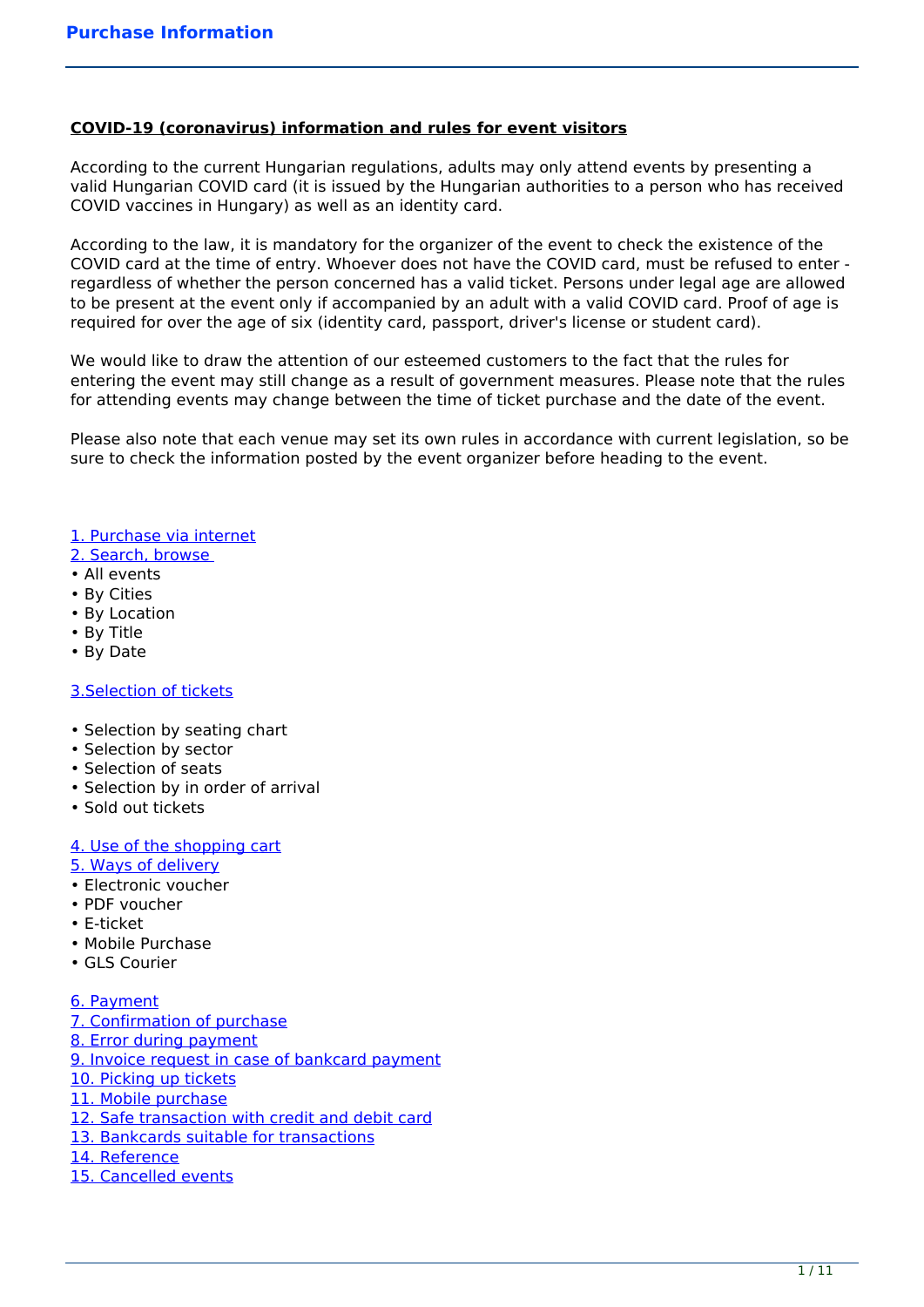## **COVID-19 (coronavirus) information and rules for event visitors**

According to the current Hungarian regulations, adults may only attend events by presenting a valid Hungarian COVID card (it is issued by the Hungarian authorities to a person who has received COVID vaccines in Hungary) as well as an identity card.

According to the law, it is mandatory for the organizer of the event to check the existence of the COVID card at the time of entry. Whoever does not have the COVID card, must be refused to enter regardless of whether the person concerned has a valid ticket. Persons under legal age are allowed to be present at the event only if accompanied by an adult with a valid COVID card. Proof of age is required for over the age of six (identity card, passport, driver's license or student card).

We would like to draw the attention of our esteemed customers to the fact that the rules for entering the event may still change as a result of government measures. Please note that the rules for attending events may change between the time of ticket purchase and the date of the event.

Please also note that each venue may set its own rules in accordance with current legislation, so be sure to check the information posted by the event organizer before heading to the event.

## [1. Purchase via internet](https://www.jegy.hu/articles/19/vasarlasi-tajekoztato/?lang=en#1)

# [2. Search, browse](https://www.jegy.hu/articles/19/vasarlasi-tajekoztato/?lang=en#2)

- All events
- By Cities
- By Location
- By Title
- By Date

## [3.Selection of tickets](https://www.jegy.hu/articles/19/vasarlasi-tajekoztato/?lang=en#3)

- Selection by seating chart
- Selection by sector
- Selection of seats
- Selection by in order of arrival
- Sold out tickets

# [4. Use of the shopping cart](https://www.jegy.hu/articles/19/vasarlasi-tajekoztato/?lang=en#4)

- [5. Ways of delivery](https://www.jegy.hu/articles/19/vasarlasi-tajekoztato/?lang=en#5)
- Electronic voucher
- PDF voucher
- E-ticket
- Mobile Purchase
- GLS Courier
- [6. Payment](https://www.jegy.hu/articles/19/vasarlasi-tajekoztato/?lang=en#6)
- [7. Confirmation of purchase](https://www.jegy.hu/articles/19/vasarlasi-tajekoztato/?lang=en#7)
- [8. Error during payment](https://www.jegy.hu/articles/19/vasarlasi-tajekoztato/?lang=en#8)
- [9. Invoice request in case of bankcard payment](https://www.jegy.hu/articles/19/vasarlasi-tajekoztato/?lang=en#9)
- [10. Picking up tickets](https://www.jegy.hu/articles/19/vasarlasi-tajekoztato/?lang=en#10)
- [11. Mobile purchase](https://www.jegy.hu/articles/19/vasarlasi-tajekoztato/?lang=en#11)
- [12. Safe transaction with credit and debit card](https://www.jegy.hu/articles/19/vasarlasi-tajekoztato/?lang=en#12)
- [13. Bankcards suitable for transactions](https://www.jegy.hu/articles/19/vasarlasi-tajekoztato/?lang=en#13)
- [14. Reference](https://www.jegy.hu/articles/19/vasarlasi-tajekoztato/?lang=en#14)
- [15. Cancelled events](https://www.jegy.hu/articles/19/vasarlasi-tajekoztato/?lang=en#15)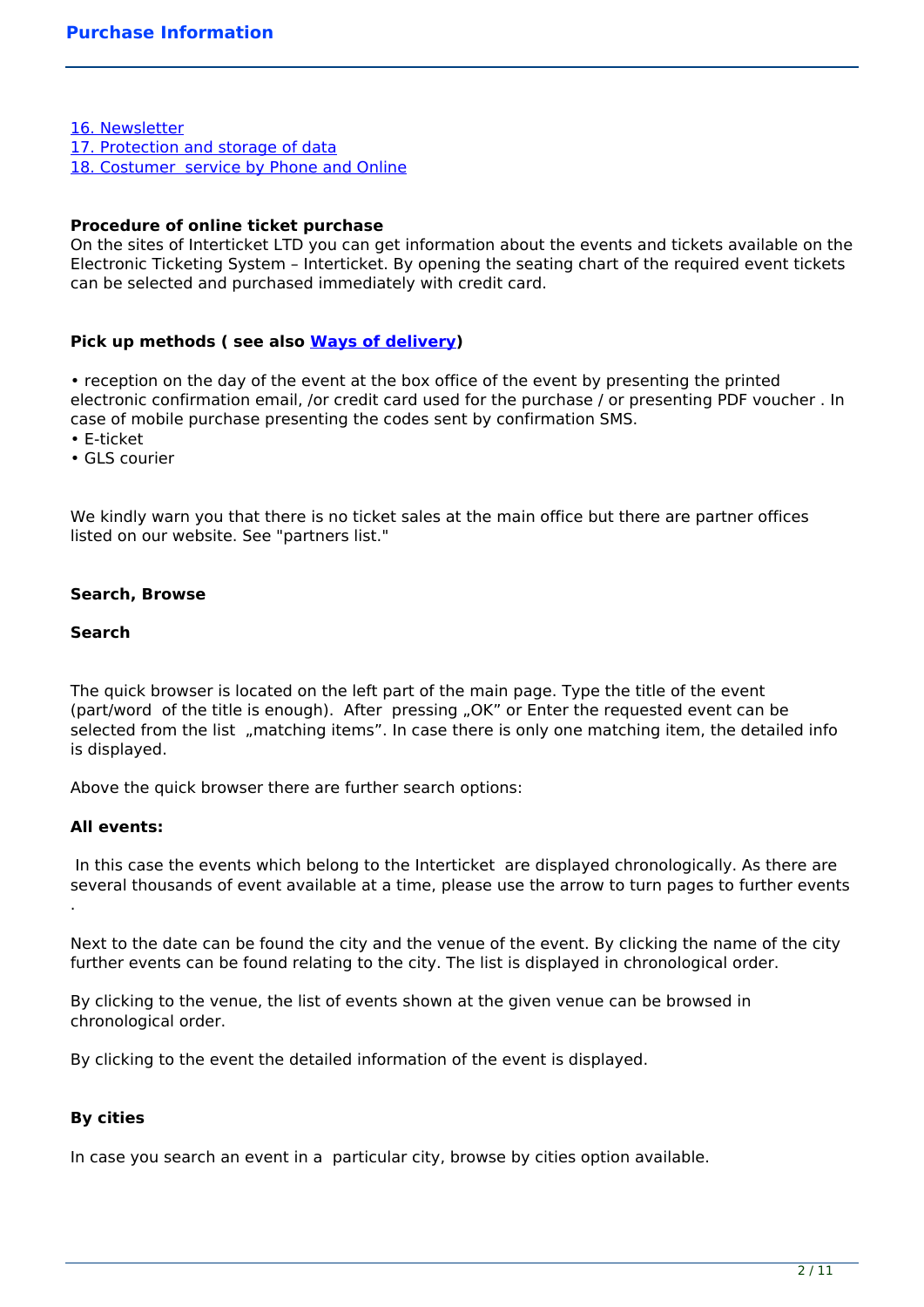[16. Newsletter](https://www.jegy.hu/articles/19/vasarlasi-tajekoztato/?lang=en#16)

[17. Protection and storage of data](https://www.jegy.hu/articles/19/vasarlasi-tajekoztato/?lang=en#17)

[18. Costumer service by Phone and Online](https://www.jegy.hu/articles/19/vasarlasi-tajekoztato/?lang=en#18)

## **Procedure of online ticket purchase**

On the sites of Interticket LTD you can get information about the events and tickets available on the Electronic Ticketing System – Interticket. By opening the seating chart of the required event tickets can be selected and purchased immediately with credit card.

## **Pick up methods ( see also [Ways of delivery\)](https://www.jegy.hu/articles/19/vasarlasi-tajekoztato/?lang=en#5)**

• reception on the day of the event at the box office of the event by presenting the printed electronic confirmation email, /or credit card used for the purchase / or presenting PDF voucher . In case of mobile purchase presenting the codes sent by confirmation SMS.

• E-ticket

• GLS courier

We kindly warn you that there is no ticket sales at the main office but there are partner offices listed on our website. See "partners list."

## **Search, Browse**

### **Search**

The quick browser is located on the left part of the main page. Type the title of the event (part/word of the title is enough). After pressing "OK" or Enter the requested event can be selected from the list "matching items". In case there is only one matching item, the detailed info is displayed.

Above the quick browser there are further search options:

### **All events:**

 In this case the events which belong to the Interticket are displayed chronologically. As there are several thousands of event available at a time, please use the arrow to turn pages to further events .

Next to the date can be found the city and the venue of the event. By clicking the name of the city further events can be found relating to the city. The list is displayed in chronological order.

By clicking to the venue, the list of events shown at the given venue can be browsed in chronological order.

By clicking to the event the detailed information of the event is displayed.

## **By cities**

In case you search an event in a particular city, browse by cities option available.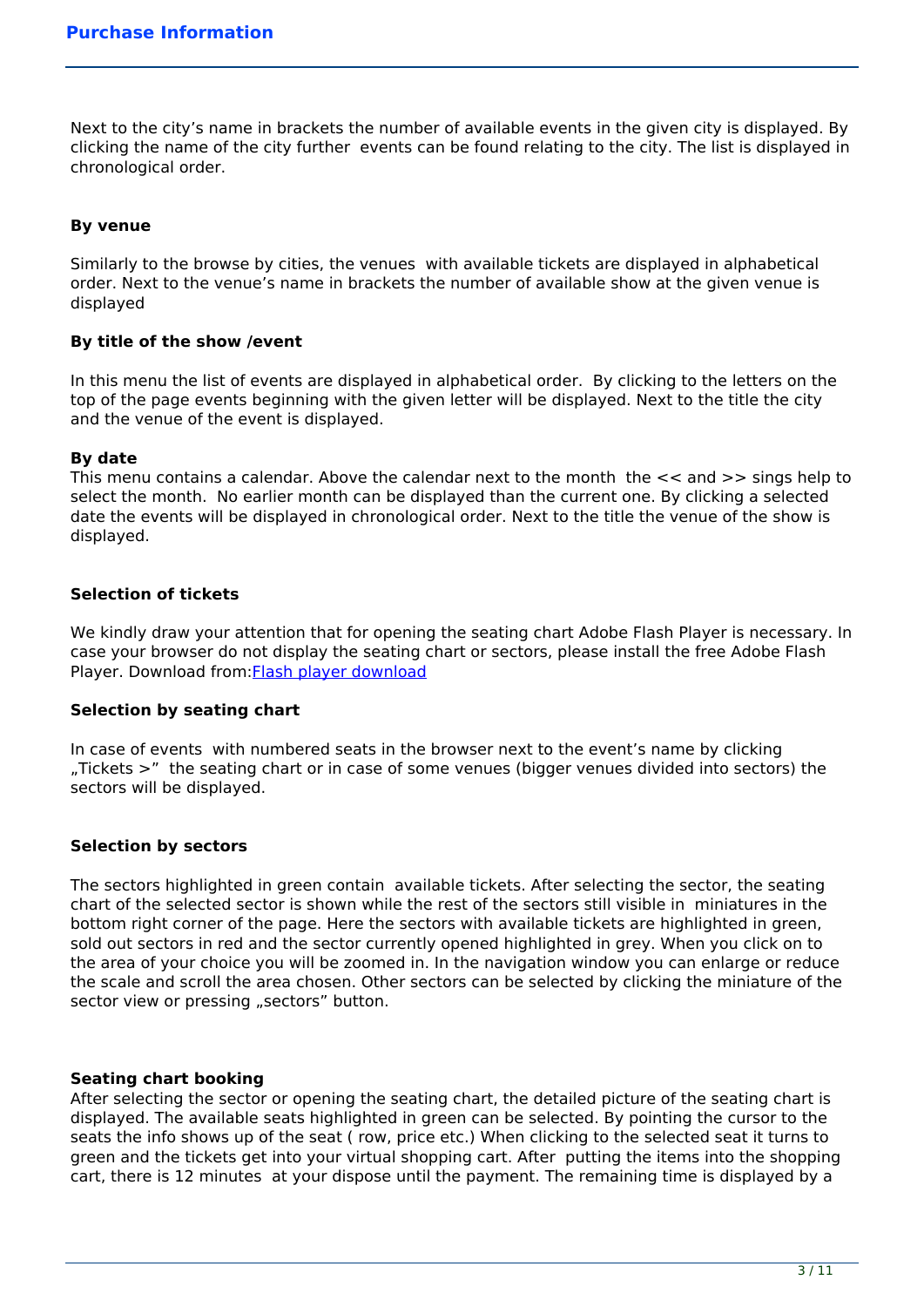Next to the city's name in brackets the number of available events in the given city is displayed. By clicking the name of the city further events can be found relating to the city. The list is displayed in chronological order.

## **By venue**

Similarly to the browse by cities, the venues with available tickets are displayed in alphabetical order. Next to the venue's name in brackets the number of available show at the given venue is displayed

## **By title of the show /event**

In this menu the list of events are displayed in alphabetical order. By clicking to the letters on the top of the page events beginning with the given letter will be displayed. Next to the title the city and the venue of the event is displayed.

## **By date**

This menu contains a calendar. Above the calendar next to the month the << and >> sings help to select the month. No earlier month can be displayed than the current one. By clicking a selected date the events will be displayed in chronological order. Next to the title the venue of the show is displayed.

## **Selection of tickets**

We kindly draw your attention that for opening the seating chart Adobe Flash Player is necessary. In case your browser do not display the seating chart or sectors, please install the free Adobe Flash Player. Download from:[Flash player download](http://www.adobe.com/products/flashplayer/)

### **Selection by seating chart**

In case of events with numbered seats in the browser next to the event's name by clicking "Tickets >" the seating chart or in case of some venues (bigger venues divided into sectors) the sectors will be displayed.

## **Selection by sectors**

The sectors highlighted in green contain available tickets. After selecting the sector, the seating chart of the selected sector is shown while the rest of the sectors still visible in miniatures in the bottom right corner of the page. Here the sectors with available tickets are highlighted in green, sold out sectors in red and the sector currently opened highlighted in grey. When you click on to the area of your choice you will be zoomed in. In the navigation window you can enlarge or reduce the scale and scroll the area chosen. Other sectors can be selected by clicking the miniature of the sector view or pressing "sectors" button.

### **Seating chart booking**

After selecting the sector or opening the seating chart, the detailed picture of the seating chart is displayed. The available seats highlighted in green can be selected. By pointing the cursor to the seats the info shows up of the seat ( row, price etc.) When clicking to the selected seat it turns to green and the tickets get into your virtual shopping cart. After putting the items into the shopping cart, there is 12 minutes at your dispose until the payment. The remaining time is displayed by a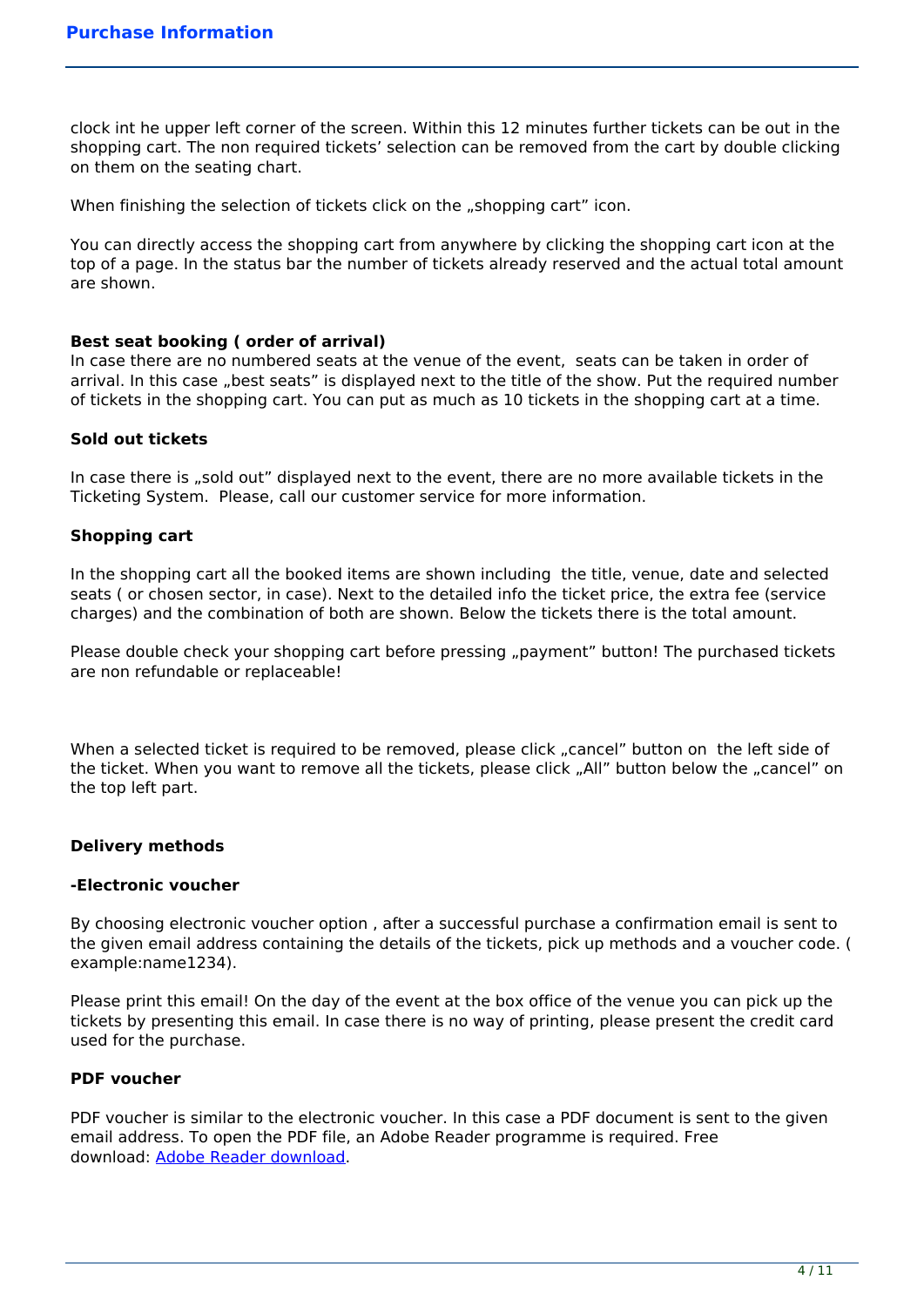clock int he upper left corner of the screen. Within this 12 minutes further tickets can be out in the shopping cart. The non required tickets' selection can be removed from the cart by double clicking on them on the seating chart.

When finishing the selection of tickets click on the "shopping cart" icon.

You can directly access the shopping cart from anywhere by clicking the shopping cart icon at the top of a page. In the status bar the number of tickets already reserved and the actual total amount are shown.

## **Best seat booking ( order of arrival)**

In case there are no numbered seats at the venue of the event, seats can be taken in order of arrival. In this case "best seats" is displayed next to the title of the show. Put the required number of tickets in the shopping cart. You can put as much as 10 tickets in the shopping cart at a time.

## **Sold out tickets**

In case there is "sold out" displayed next to the event, there are no more available tickets in the Ticketing System. Please, call our customer service for more information.

## **Shopping cart**

In the shopping cart all the booked items are shown including the title, venue, date and selected seats ( or chosen sector, in case). Next to the detailed info the ticket price, the extra fee (service charges) and the combination of both are shown. Below the tickets there is the total amount.

Please double check your shopping cart before pressing "payment" button! The purchased tickets are non refundable or replaceable!

When a selected ticket is required to be removed, please click "cancel" button on the left side of the ticket. When you want to remove all the tickets, please click "All" button below the "cancel" on the top left part.

### **Delivery methods**

### **-Electronic voucher**

By choosing electronic voucher option , after a successful purchase a confirmation email is sent to the given email address containing the details of the tickets, pick up methods and a voucher code. ( example:name1234).

Please print this email! On the day of the event at the box office of the venue you can pick up the tickets by presenting this email. In case there is no way of printing, please present the credit card used for the purchase.

### **PDF voucher**

PDF voucher is similar to the electronic voucher. In this case a PDF document is sent to the given email address. To open the PDF file, an Adobe Reader programme is required. Free download: [Adobe Reader download.](http://get.adobe.com/reader/)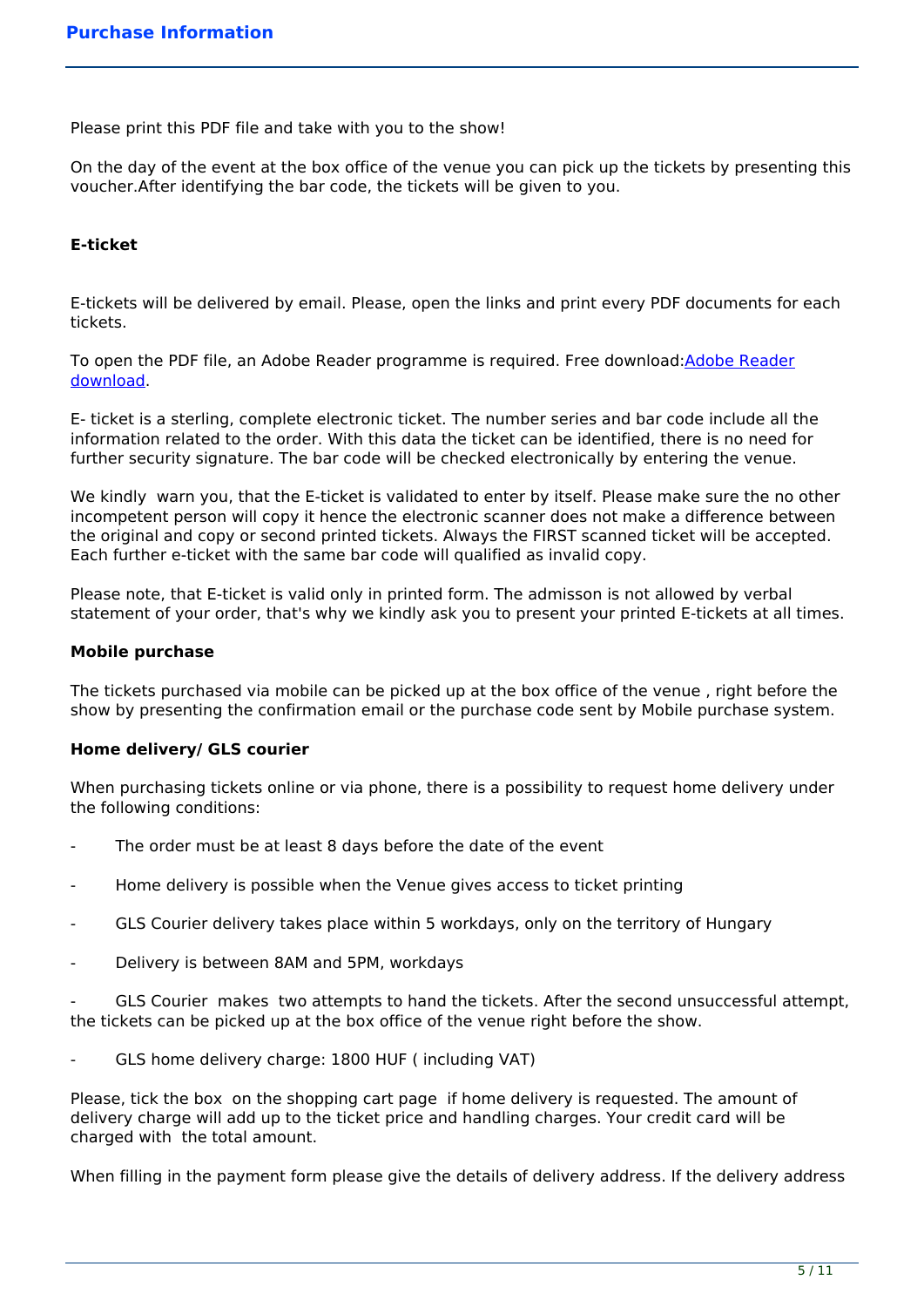Please print this PDF file and take with you to the show!

On the day of the event at the box office of the venue you can pick up the tickets by presenting this voucher.After identifying the bar code, the tickets will be given to you.

# **E-ticket**

E-tickets will be delivered by email. Please, open the links and print every PDF documents for each tickets.

To open the PDF file, an Adobe Reader programme is required. Free download[:Adobe Reader](http://get.adobe.com/reader/) [download.](http://get.adobe.com/reader/)

E- ticket is a sterling, complete electronic ticket. The number series and bar code include all the information related to the order. With this data the ticket can be identified, there is no need for further security signature. The bar code will be checked electronically by entering the venue.

We kindly warn you, that the E-ticket is validated to enter by itself. Please make sure the no other incompetent person will copy it hence the electronic scanner does not make a difference between the original and copy or second printed tickets. Always the FIRST scanned ticket will be accepted. Each further e-ticket with the same bar code will qualified as invalid copy.

Please note, that E-ticket is valid only in printed form. The admisson is not allowed by verbal statement of your order, that's why we kindly ask you to present your printed E-tickets at all times.

## **Mobile purchase**

The tickets purchased via mobile can be picked up at the box office of the venue , right before the show by presenting the confirmation email or the purchase code sent by Mobile purchase system.

### **Home delivery/ GLS courier**

When purchasing tickets online or via phone, there is a possibility to request home delivery under the following conditions:

- The order must be at least 8 days before the date of the event
- Home delivery is possible when the Venue gives access to ticket printing
- GLS Courier delivery takes place within 5 workdays, only on the territory of Hungary
- Delivery is between 8AM and 5PM, workdays

- GLS Courier makes two attempts to hand the tickets. After the second unsuccessful attempt, the tickets can be picked up at the box office of the venue right before the show.

- GLS home delivery charge: 1800 HUF ( including VAT)

Please, tick the box on the shopping cart page if home delivery is requested. The amount of delivery charge will add up to the ticket price and handling charges. Your credit card will be charged with the total amount.

When filling in the payment form please give the details of delivery address. If the delivery address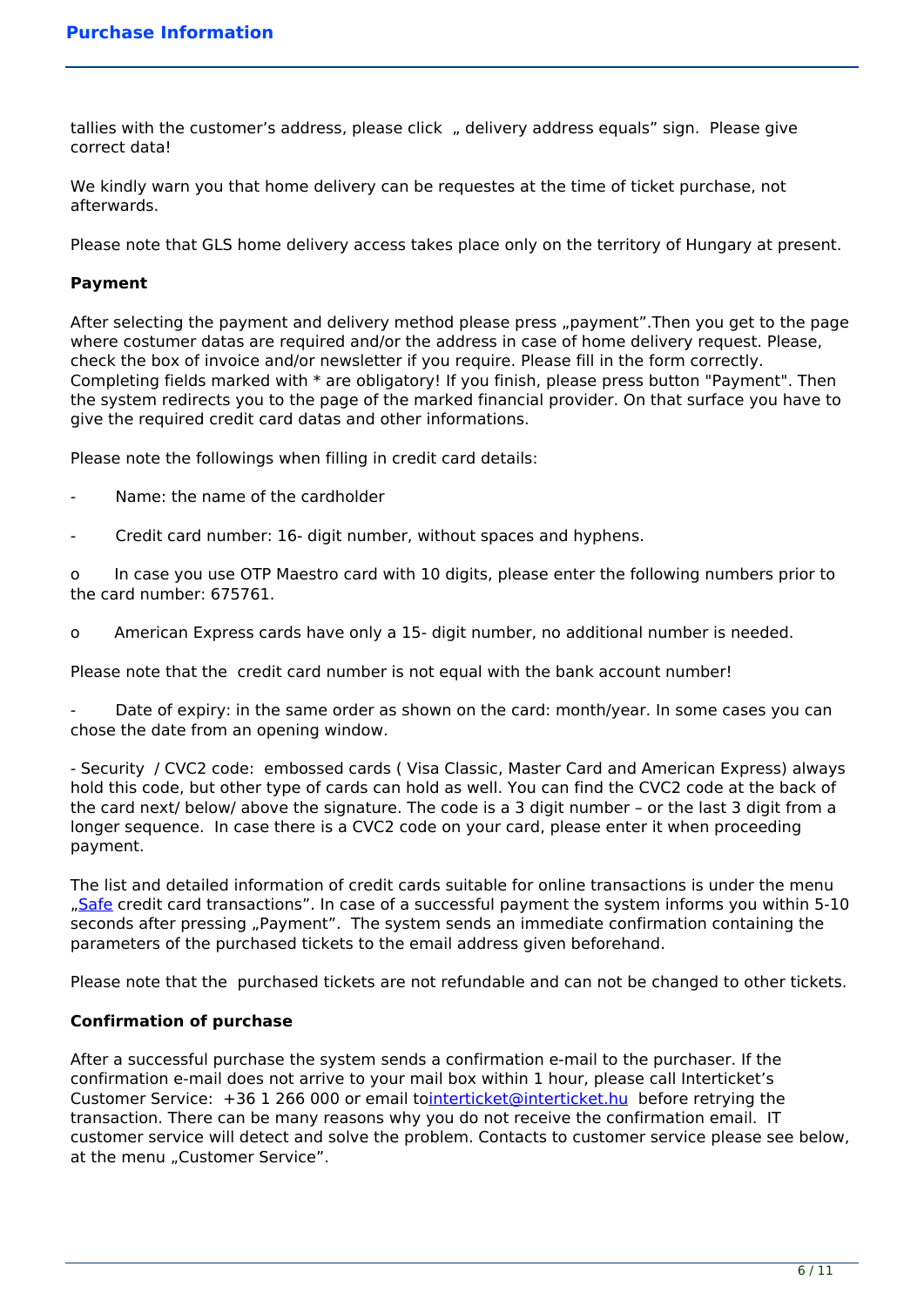tallies with the customer's address, please click " delivery address equals" sign. Please give correct data!

We kindly warn you that home delivery can be requestes at the time of ticket purchase, not afterwards.

Please note that GLS home delivery access takes place only on the territory of Hungary at present.

## **Payment**

After selecting the payment and delivery method please press "payment". Then you get to the page where costumer datas are required and/or the address in case of home delivery request. Please, check the box of invoice and/or newsletter if you require. Please fill in the form correctly. Completing fields marked with \* are obligatory! If you finish, please press button "Payment". Then the system redirects you to the page of the marked financial provider. On that surface you have to give the required credit card datas and other informations.

Please note the followings when filling in credit card details:

- Name: the name of the cardholder
- Credit card number: 16- digit number, without spaces and hyphens.

o In case you use OTP Maestro card with 10 digits, please enter the following numbers prior to the card number: 675761.

o American Express cards have only a 15- digit number, no additional number is needed.

Please note that the credit card number is not equal with the bank account number!

Date of expiry: in the same order as shown on the card: month/year. In some cases you can chose the date from an opening window.

- Security / CVC2 code: embossed cards ( Visa Classic, Master Card and American Express) always hold this code, but other type of cards can hold as well. You can find the CVC2 code at the back of the card next/ below/ above the signature. The code is a 3 digit number – or the last 3 digit from a longer sequence. In case there is a CVC2 code on your card, please enter it when proceeding payment.

The list and detailed information of credit cards suitable for online transactions is under the menu "[Safe](https://www.jegy.hu/fckeditor.html?InstanceName=e_content2&Toolbar=Basic#12) credit card transactions". In case of a successful payment the system informs you within 5-10 seconds after pressing "Payment". The system sends an immediate confirmation containing the parameters of the purchased tickets to the email address given beforehand.

Please note that the purchased tickets are not refundable and can not be changed to other tickets.

## **Confirmation of purchase**

After a successful purchase the system sends a confirmation e-mail to the purchaser. If the confirmation e-mail does not arrive to your mail box within 1 hour, please call Interticket's Customer Service: +36 1 266 000 or email t[ointerticket@interticket.hu](mailto:interticket@interticket.hu) before retrying the transaction. There can be many reasons why you do not receive the confirmation email. IT customer service will detect and solve the problem. Contacts to customer service please see below, at the menu "Customer Service".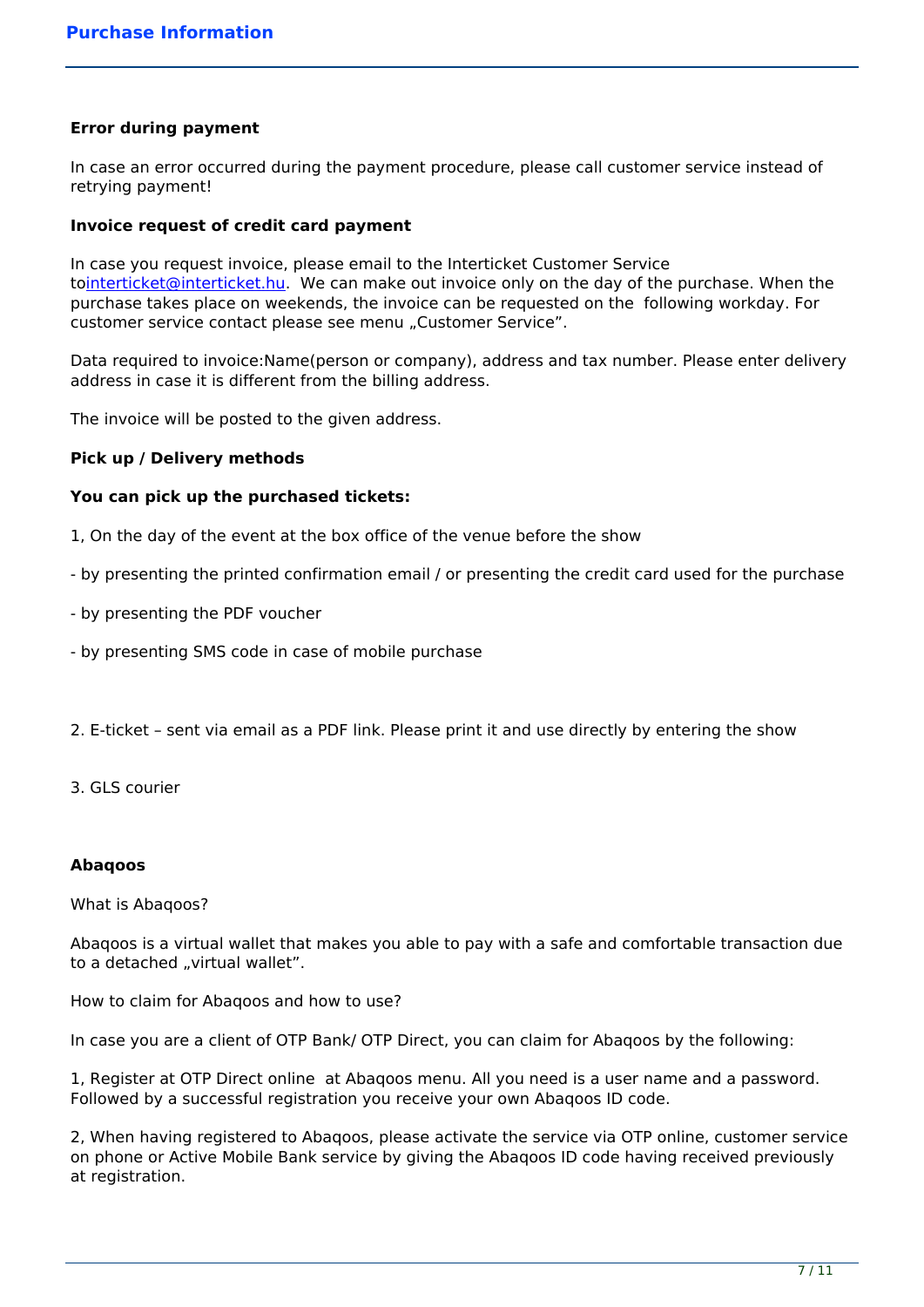## **Error during payment**

In case an error occurred during the payment procedure, please call customer service instead of retrying payment!

### **Invoice request of credit card payment**

In case you request invoice, please email to the Interticket Customer Service t[ointerticket@interticket.hu.](mailto:interticket@interticket.hu) We can make out invoice only on the day of the purchase. When the purchase takes place on weekends, the invoice can be requested on the following workday. For customer service contact please see menu "Customer Service".

Data required to invoice:Name(person or company), address and tax number. Please enter delivery address in case it is different from the billing address.

The invoice will be posted to the given address.

### **Pick up / Delivery methods**

#### **You can pick up the purchased tickets:**

1, On the day of the event at the box office of the venue before the show

- by presenting the printed confirmation email / or presenting the credit card used for the purchase

- by presenting the PDF voucher
- by presenting SMS code in case of mobile purchase
- 2. E-ticket sent via email as a PDF link. Please print it and use directly by entering the show
- 3. GLS courier

### **Abaqoos**

What is Abaqoos?

Abaqoos is a virtual wallet that makes you able to pay with a safe and comfortable transaction due to a detached "virtual wallet".

How to claim for Abaqoos and how to use?

In case you are a client of OTP Bank/ OTP Direct, you can claim for Abaqoos by the following:

1, Register at OTP Direct online at Abaqoos menu. All you need is a user name and a password. Followed by a successful registration you receive your own Abaqoos ID code.

2, When having registered to Abaqoos, please activate the service via OTP online, customer service on phone or Active Mobile Bank service by giving the Abaqoos ID code having received previously at registration.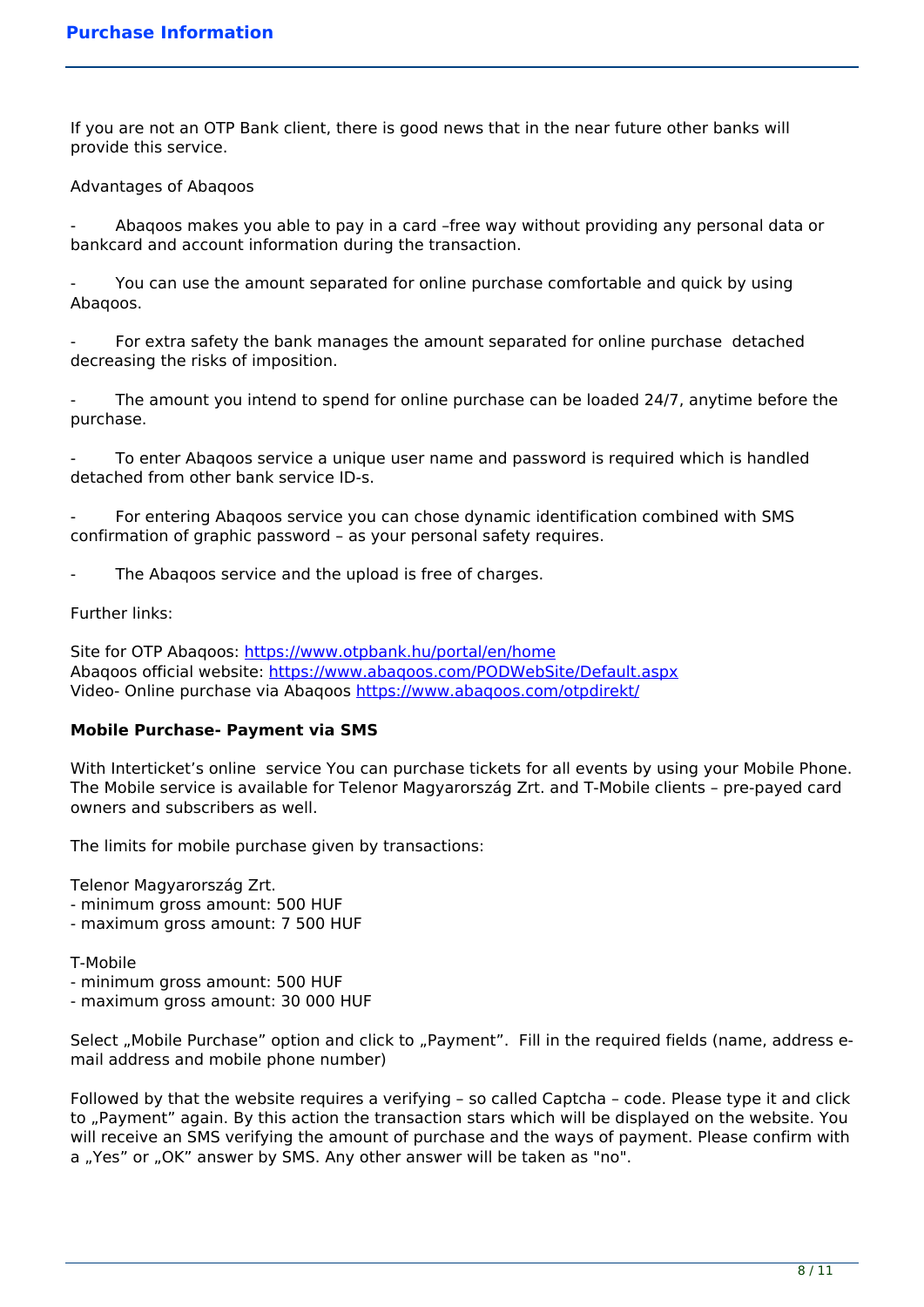If you are not an OTP Bank client, there is good news that in the near future other banks will provide this service.

## Advantages of Abaqoos

- Abaqoos makes you able to pay in a card –free way without providing any personal data or bankcard and account information during the transaction.

- You can use the amount separated for online purchase comfortable and quick by using Abaqoos.

- For extra safety the bank manages the amount separated for online purchase detached decreasing the risks of imposition.

The amount you intend to spend for online purchase can be loaded 24/7, anytime before the purchase.

- To enter Abaqoos service a unique user name and password is required which is handled detached from other bank service ID-s.

For entering Abagoos service you can chose dynamic identification combined with SMS confirmation of graphic password – as your personal safety requires.

The Abagoos service and the upload is free of charges.

Further links:

Site for OTP Abaqoos: <https://www.otpbank.hu/portal/en/home> Abaqoos official website:<https://www.abaqoos.com/PODWebSite/Default.aspx> Video- Online purchase via Abaqoos<https://www.abaqoos.com/otpdirekt/>

## **Mobile Purchase- Payment via SMS**

With Interticket's online service You can purchase tickets for all events by using your Mobile Phone. The Mobile service is available for Telenor Magyarország Zrt. and T-Mobile clients – pre-payed card owners and subscribers as well.

The limits for mobile purchase given by transactions:

Telenor Magyarország Zrt.

- minimum gross amount: 500 HUF
- maximum gross amount: 7 500 HUF

### T-Mobile

- minimum gross amount: 500 HUF
- maximum gross amount: 30 000 HUF

Select "Mobile Purchase" option and click to "Payment". Fill in the required fields (name, address email address and mobile phone number)

Followed by that the website requires a verifying – so called Captcha – code. Please type it and click to "Payment" again. By this action the transaction stars which will be displayed on the website. You will receive an SMS verifying the amount of purchase and the ways of payment. Please confirm with a "Yes" or "OK" answer by SMS. Any other answer will be taken as "no".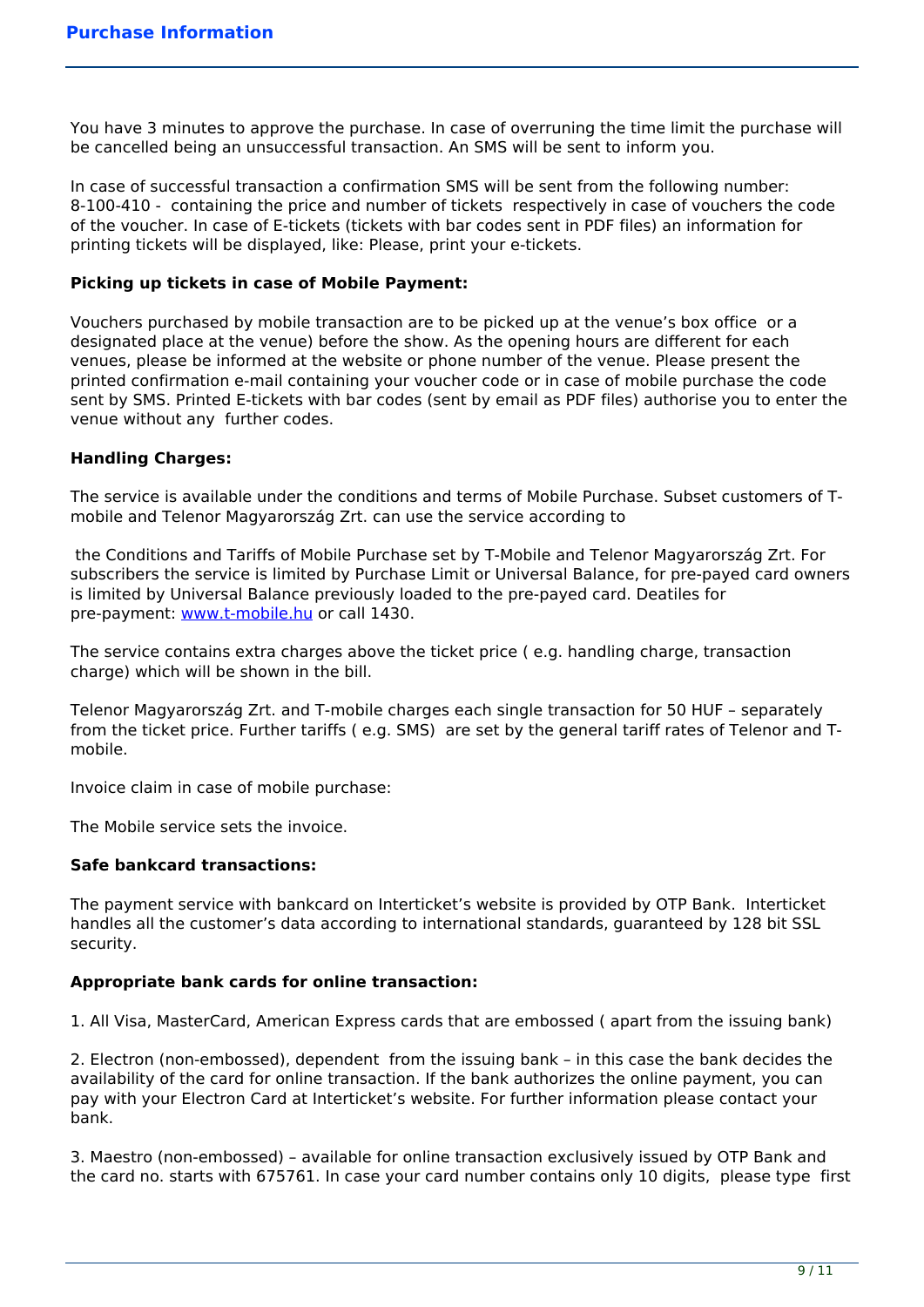You have 3 minutes to approve the purchase. In case of overruning the time limit the purchase will be cancelled being an unsuccessful transaction. An SMS will be sent to inform you.

In case of successful transaction a confirmation SMS will be sent from the following number: 8-100-410 - containing the price and number of tickets respectively in case of vouchers the code of the voucher. In case of E-tickets (tickets with bar codes sent in PDF files) an information for printing tickets will be displayed, like: Please, print your e-tickets.

## **Picking up tickets in case of Mobile Payment:**

Vouchers purchased by mobile transaction are to be picked up at the venue's box office or a designated place at the venue) before the show. As the opening hours are different for each venues, please be informed at the website or phone number of the venue. Please present the printed confirmation e-mail containing your voucher code or in case of mobile purchase the code sent by SMS. Printed E-tickets with bar codes (sent by email as PDF files) authorise you to enter the venue without any further codes.

## **Handling Charges:**

The service is available under the conditions and terms of Mobile Purchase. Subset customers of Tmobile and Telenor Magyarország Zrt. can use the service according to

 the Conditions and Tariffs of Mobile Purchase set by T-Mobile and Telenor Magyarország Zrt. For subscribers the service is limited by Purchase Limit or Universal Balance, for pre-payed card owners is limited by Universal Balance previously loaded to the pre-payed card. Deatiles for pre-payment: [www.t-mobile.hu](http://www.t-mobile.hu/) or call 1430.

The service contains extra charges above the ticket price ( e.g. handling charge, transaction charge) which will be shown in the bill.

Telenor Magyarország Zrt. and T-mobile charges each single transaction for 50 HUF – separately from the ticket price. Further tariffs ( e.g. SMS) are set by the general tariff rates of Telenor and Tmobile.

Invoice claim in case of mobile purchase:

The Mobile service sets the invoice.

### **Safe bankcard transactions:**

The payment service with bankcard on Interticket's website is provided by OTP Bank. Interticket handles all the customer's data according to international standards, guaranteed by 128 bit SSL security.

### **Appropriate bank cards for online transaction:**

1. All Visa, MasterCard, American Express cards that are embossed ( apart from the issuing bank)

2. Electron (non-embossed), dependent from the issuing bank – in this case the bank decides the availability of the card for online transaction. If the bank authorizes the online payment, you can pay with your Electron Card at Interticket's website. For further information please contact your bank.

3. Maestro (non-embossed) – available for online transaction exclusively issued by OTP Bank and the card no. starts with 675761. In case your card number contains only 10 digits, please type first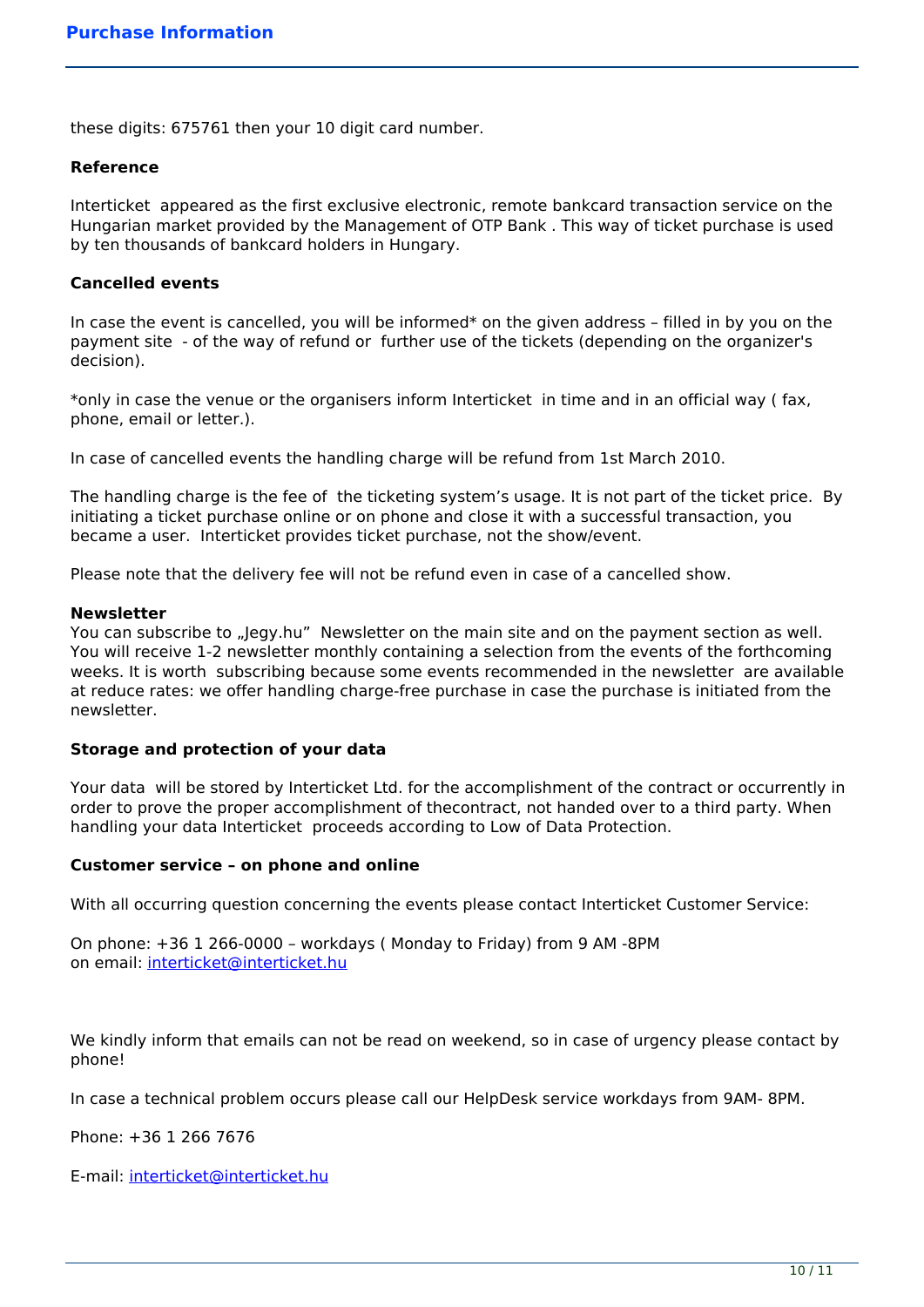these digits: 675761 then your 10 digit card number.

### **Reference**

Interticket appeared as the first exclusive electronic, remote bankcard transaction service on the Hungarian market provided by the Management of OTP Bank . This way of ticket purchase is used by ten thousands of bankcard holders in Hungary.

### **Cancelled events**

In case the event is cancelled, you will be informed\* on the given address - filled in by you on the payment site - of the way of refund or further use of the tickets (depending on the organizer's decision).

\*only in case the venue or the organisers inform Interticket in time and in an official way ( fax, phone, email or letter.).

In case of cancelled events the handling charge will be refund from 1st March 2010.

The handling charge is the fee of the ticketing system's usage. It is not part of the ticket price. By initiating a ticket purchase online or on phone and close it with a successful transaction, you became a user. Interticket provides ticket purchase, not the show/event.

Please note that the delivery fee will not be refund even in case of a cancelled show.

### **Newsletter**

You can subscribe to "Jegy.hu" Newsletter on the main site and on the payment section as well. You will receive 1-2 newsletter monthly containing a selection from the events of the forthcoming weeks. It is worth subscribing because some events recommended in the newsletter are available at reduce rates: we offer handling charge-free purchase in case the purchase is initiated from the newsletter.

### **Storage and protection of your data**

Your data will be stored by Interticket Ltd. for the accomplishment of the contract or occurrently in order to prove the proper accomplishment of thecontract, not handed over to a third party. When handling your data Interticket proceeds according to Low of Data Protection.

### **Customer service – on phone and online**

With all occurring question concerning the events please contact Interticket Customer Service:

On phone: +36 1 266-0000 – workdays ( Monday to Friday) from 9 AM -8PM on email: [interticket@interticket.hu](mailto:interticket@interticket.hu)

We kindly inform that emails can not be read on weekend, so in case of urgency please contact by phone!

In case a technical problem occurs please call our HelpDesk service workdays from 9AM- 8PM.

Phone: +36 1 266 7676

E-mail: [interticket@interticket.hu](mailto:interticket@interticket.hu)